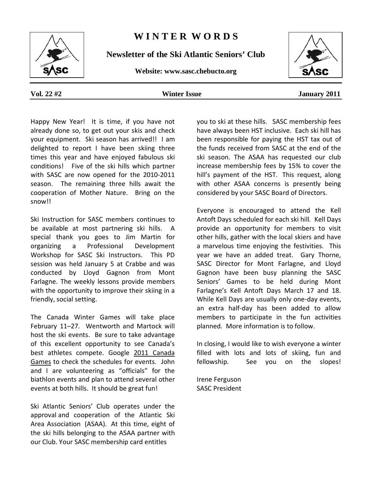**W I N T E R W O R D S** 

**Newsletter of the Ski Atlantic Seniors' Club**

**Website: www.sasc.chebucto.org**



**Vol. 22 #2 Winter Issue January 2011**

Happy New Year! It is time, if you have not already done so, to get out your skis and check your equipment. Ski season has arrived!! I am delighted to report I have been skiing three times this year and have enjoyed fabulous ski conditions! Five of the ski hills which partner with SASC are now opened for the 2010-2011 season. The remaining three hills await the cooperation of Mother Nature. Bring on the snow!!

Ski Instruction for SASC members continues to be available at most partnering ski hills. A special thank you goes to Jim Martin for organizing a Professional Development Workshop for SASC Ski Instructors. This PD session was held January 5 at Crabbe and was conducted by Lloyd Gagnon from Mont Farlagne. The weekly lessons provide members with the opportunity to improve their skiing in a friendly, social setting.

The Canada Winter Games will take place February 11–27. Wentworth and Martock will host the ski events. Be sure to take advantage of this excellent opportunity to see Canada's best athletes compete. Google 2011 Canada Games to check the schedules for events. John and I are volunteering as "officials" for the biathlon events and plan to attend several other events at both hills. It should be great fun!

Ski Atlantic Seniors' Club operates under the approval and cooperation of the Atlantic Ski Area Association (ASAA). At this time, eight of the ski hills belonging to the ASAA partner with our Club. Your SASC membership card entitles

you to ski at these hills. SASC membership fees have always been HST inclusive. Each ski hill has been responsible for paying the HST tax out of the funds received from SASC at the end of the ski season. The ASAA has requested our club increase membership fees by 15% to cover the hill's payment of the HST. This request, along with other ASAA concerns is presently being considered by your SASC Board of Directors.

Everyone is encouraged to attend the Kell Antoft Days scheduled for each ski hill. Kell Days provide an opportunity for members to visit other hills, gather with the local skiers and have a marvelous time enjoying the festivities. This year we have an added treat. Gary Thorne, SASC Director for Mont Farlagne, and Lloyd Gagnon have been busy planning the SASC Seniors' Games to be held during Mont Farlagne's Kell Antoft Days March 17 and 18. While Kell Days are usually only one-day events, an extra half-day has been added to allow members to participate in the fun activities planned. More information is to follow.

In closing, I would like to wish everyone a winter filled with lots and lots of skiing, fun and fellowship. See you on the slopes!

Irene Ferguson SASC President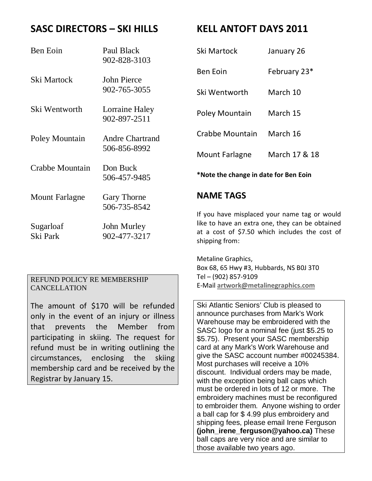# **SASC DIRECTORS – SKI HILLS**

# **KELL ANTOFT DAYS 2011**

| Ben Eoin              | Paul Black<br>902-828-3103                  | Ski Martock                                                                                                                                       | January 26    |
|-----------------------|---------------------------------------------|---------------------------------------------------------------------------------------------------------------------------------------------------|---------------|
| Ski Martock           | John Pierce                                 | <b>Ben Eoin</b>                                                                                                                                   | February 23*  |
|                       | 902-765-3055                                | Ski Wentworth                                                                                                                                     | March 10      |
| Ski Wentworth         | Lorraine Haley<br>902-897-2511              | Poley Mountain                                                                                                                                    | March 15      |
| Poley Mountain        | <b>Andre Chartrand</b><br>506-856-8992      | <b>Crabbe Mountain</b>                                                                                                                            | March 16      |
|                       |                                             | <b>Mount Farlagne</b>                                                                                                                             | March 17 & 18 |
| Crabbe Mountain       | Don Buck<br>506-457-9485                    | *Note the change in date for Ben Eoin                                                                                                             |               |
| <b>Mount Farlagne</b> | Gary Thorne                                 | <b>NAME TAGS</b><br>If you have misplaced your name tag or<br>like to have an extra one, they can be of<br>at a cost of \$7.50 which includes the |               |
| Sugarloaf<br>Ski Park | 506-735-8542<br>John Murley<br>902-477-3217 |                                                                                                                                                   |               |

REFUND POLICY RE MEMBERSHIP **CANCELLATION** 

The amount of \$170 will be refunded only in the event of an injury or illness that prevents the Member from participating in skiing. The request for refund must be in writing outlining the circumstances, enclosing the skiing membership card and be received by the Registrar by January 15.

Ir would btained at a cost of \$7.50 which includes the cost of shipping from:

Metaline Graphics, Box 68, 65 Hwy #3, Hubbards, NS B0J 3T0 Tel – (902) 857-9109 E-Mail **[artwork@metalinegraphics.com](mailto:artwork@metalinegraphics.com)**

Ski Atlantic Seniors' Club is pleased to announce purchases from Mark's Work Warehouse may be embroidered with the SASC logo for a nominal fee (just \$5.25 to \$5.75). Present your SASC membership card at any Mark's Work Warehouse and give the SASC account number #00245384. Most purchases will receive a 10% discount. Individual orders may be made, with the exception being ball caps which must be ordered in lots of 12 or more. The embroidery machines must be reconfigured to embroider them. Anyone wishing to order a ball cap for \$ 4.99 plus embroidery and shipping fees, please email Irene Ferguson **(john\_irene\_ferguson@yahoo.ca)** These ball caps are very nice and are similar to those available two years ago.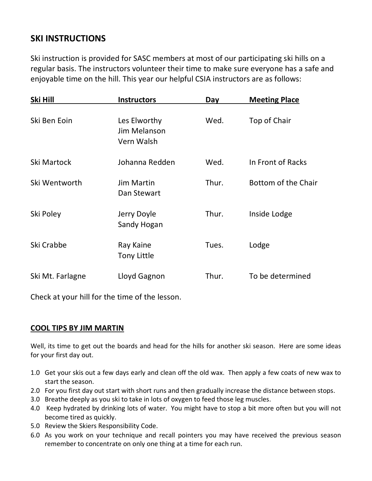## **SKI INSTRUCTIONS**

Ski instruction is provided for SASC members at most of our participating ski hills on a regular basis. The instructors volunteer their time to make sure everyone has a safe and enjoyable time on the hill. This year our helpful CSIA instructors are as follows:

| Ski Hill         | <b>Instructors</b>                         | Day   | <b>Meeting Place</b>       |
|------------------|--------------------------------------------|-------|----------------------------|
| Ski Ben Eoin     | Les Elworthy<br>Jim Melanson<br>Vern Walsh | Wed.  | Top of Chair               |
| Ski Martock      | Johanna Redden                             | Wed.  | In Front of Racks          |
| Ski Wentworth    | <b>Jim Martin</b><br>Dan Stewart           | Thur. | <b>Bottom of the Chair</b> |
| Ski Poley        | Jerry Doyle<br>Sandy Hogan                 | Thur. | Inside Lodge               |
| Ski Crabbe       | Ray Kaine<br><b>Tony Little</b>            | Tues. | Lodge                      |
| Ski Mt. Farlagne | Lloyd Gagnon                               | Thur. | To be determined           |

Check at your hill for the time of the lesson.

#### **COOL TIPS BY JIM MARTIN**

Well, its time to get out the boards and head for the hills for another ski season. Here are some ideas for your first day out.

- 1.0 Get your skis out a few days early and clean off the old wax. Then apply a few coats of new wax to start the season.
- 2.0 For you first day out start with short runs and then gradually increase the distance between stops.
- 3.0 Breathe deeply as you ski to take in lots of oxygen to feed those leg muscles.
- 4.0 Keep hydrated by drinking lots of water. You might have to stop a bit more often but you will not become tired as quickly.
- 5.0 Review the Skiers Responsibility Code.
- 6.0 As you work on your technique and recall pointers you may have received the previous season remember to concentrate on only one thing at a time for each run.